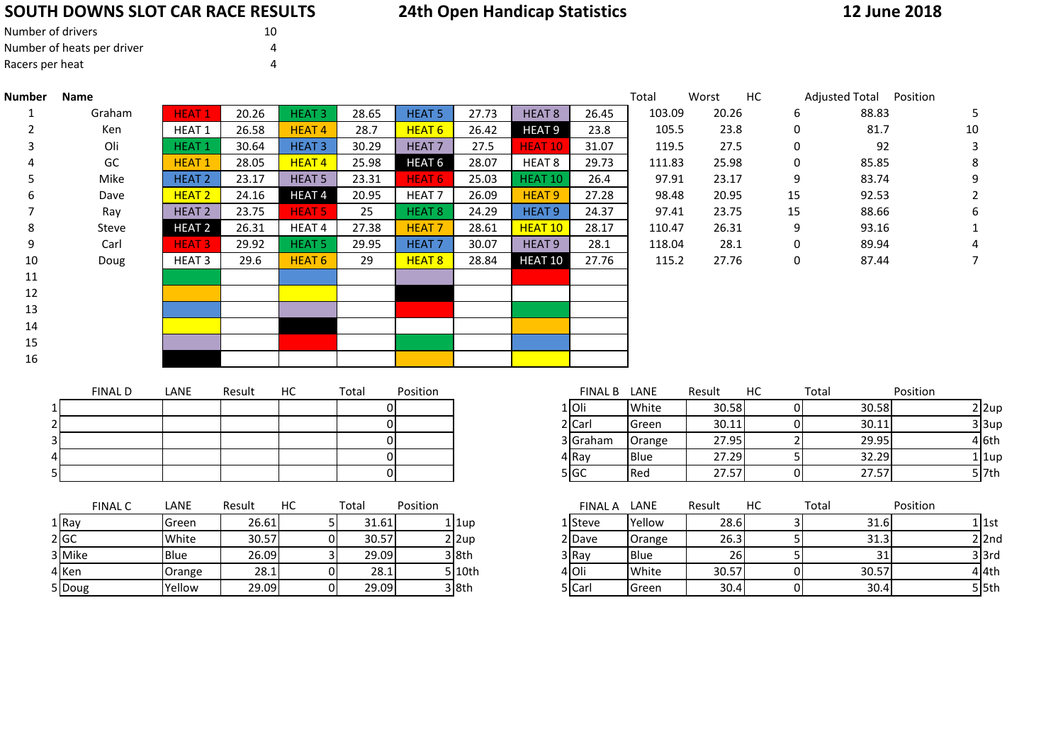## **SOUTH DOWNS SLOT CAR RACE RESULTS**

# **24th Open Handicap Statistics**

### **12 June 2018**

| Number of drivers          | 10 |
|----------------------------|----|
| Number of heats per driver | 4  |
| Racers per heat            | Δ  |

| Number | <b>Name</b> |                   |       |                   |       |                   |       |                    |       | Total  | Worst | HC.          | Adjusted Total | Position |
|--------|-------------|-------------------|-------|-------------------|-------|-------------------|-------|--------------------|-------|--------|-------|--------------|----------------|----------|
|        | Graham      | <b>HEAT1</b>      | 20.26 | <b>HEAT3</b>      | 28.65 | <b>HEAT 5</b>     | 27.73 | HEAT <sub>8</sub>  | 26.45 | 103.09 | 20.26 | 6            | 88.83          |          |
| 2      | Ken         | HEAT <sub>1</sub> | 26.58 | <b>HEAT4</b>      | 28.7  | <b>HEAT 6</b>     | 26.42 | <b>HEAT 9</b>      | 23.8  | 105.5  | 23.8  | 0            | 81.7           | 10       |
| 3      | Oli         | <b>HEAT1</b>      | 30.64 | <b>HEAT 3</b>     | 30.29 | <b>HEAT 7</b>     | 27.5  | HEAT 10            | 31.07 | 119.5  | 27.5  | $\mathbf{0}$ | 92             |          |
|        | GC          | <b>HEAT1</b>      | 28.05 | <b>HEAT4</b>      | 25.98 | HEAT <sub>6</sub> | 28.07 | HEAT 8             | 29.73 | 111.83 | 25.98 | 0            | 85.85          |          |
|        | Mike        | HEAT <sub>2</sub> | 23.17 | HEAT <sub>5</sub> | 23.31 | <b>HEAT 6</b>     | 25.03 | HEAT 10            | 26.4  | 97.91  | 23.17 | 9            | 83.74          |          |
| b      | Dave        | <b>HEAT 2</b>     | 24.16 | <b>HEAT4</b>      | 20.95 | HEAT <sub>7</sub> | 26.09 | HEAT <sub>9</sub>  | 27.28 | 98.48  | 20.95 | 15           | 92.53          |          |
|        | Ray         | HEAT <sub>2</sub> | 23.75 | <b>HEAT 5</b>     | 25    | HEAT <sub>8</sub> | 24.29 | HEAT <sub>9</sub>  | 24.37 | 97.41  | 23.75 | 15           | 88.66          |          |
| 8      | Steve       | <b>HEAT 2</b>     | 26.31 | HEAT 4            | 27.38 | <b>HEAT 7</b>     | 28.61 | HEAT <sub>10</sub> | 28.17 | 110.47 | 26.31 | 9            | 93.16          |          |
| 9      | Carl        | <b>HEAT 3</b>     | 29.92 | HEAT <sub>5</sub> | 29.95 | <b>HEAT7</b>      | 30.07 | HEAT <sub>9</sub>  | 28.1  | 118.04 | 28.1  | $\mathbf{0}$ | 89.94          |          |
| 10     | Doug        | <b>HEAT 3</b>     | 29.6  | HEAT <sub>6</sub> | 29    | HEAT <sub>8</sub> | 28.84 | <b>HEAT 10</b>     | 27.76 | 115.2  | 27.76 | 0            | 87.44          |          |
| 11     |             |                   |       |                   |       |                   |       |                    |       |        |       |              |                |          |
| 12     |             |                   |       |                   |       |                   |       |                    |       |        |       |              |                |          |
| 13     |             |                   |       |                   |       |                   |       |                    |       |        |       |              |                |          |
| 14     |             |                   |       |                   |       |                   |       |                    |       |        |       |              |                |          |
| 15     |             |                   |       |                   |       |                   |       |                    |       |        |       |              |                |          |
| 16     |             |                   |       |                   |       |                   |       |                    |       |        |       |              |                |          |
|        |             |                   |       |                   |       |                   |       |                    |       |        |       |              |                |          |

|   |                    |       | Total  | Worst | HС | Adjusted Total | Position       |
|---|--------------------|-------|--------|-------|----|----------------|----------------|
| 3 | <b>HEAT 8</b>      | 26.45 | 103.09 | 20.26 | 6  | 88.83          | 5              |
| 2 | <b>HEAT 9</b>      | 23.8  | 105.5  | 23.8  | 0  | 81.7           | 10             |
|   | HEAT <sub>10</sub> | 31.07 | 119.5  | 27.5  | 0  | 92             | 3              |
| 7 | HEAT 8             | 29.73 | 111.83 | 25.98 | 0  | 85.85          | 8              |
| 3 | HEAT <sub>10</sub> | 26.4  | 97.91  | 23.17 | 9  | 83.74          | 9              |
| 9 | HEAT <sub>9</sub>  | 27.28 | 98.48  | 20.95 | 15 | 92.53          | $\overline{2}$ |
| 9 | HEAT <sub>9</sub>  | 24.37 | 97.41  | 23.75 | 15 | 88.66          | 6              |
| 1 | <b>HEAT 10</b>     | 28.17 | 110.47 | 26.31 | 9  | 93.16          | 1              |
| 7 | HEAT <sub>9</sub>  | 28.1  | 118.04 | 28.1  | 0  | 89.94          | 4              |
| 4 | HEAT 10            | 27.76 | 115.2  | 27.76 | 0  | 87.44          | 7              |
|   |                    |       |        |       |    |                |                |

|                | <b>FINAL D</b> | LANE | Result | НC | Total | Position | <b>FINAL B</b> | LANE  |
|----------------|----------------|------|--------|----|-------|----------|----------------|-------|
|                |                |      |        |    |       |          | 1 IOIi         | White |
| 2              |                |      |        |    |       |          | 2 Carl         | Green |
| $\overline{3}$ |                |      |        |    |       |          | 3 Graham       | Orang |
| $\overline{4}$ |                |      |        |    |       |          | 4 Ray          | Blue  |
| 5              |                |      |        |    |       |          | 5 GC           | Red   |

| <b>FINAL C</b> | LANE   | Result | НC | Total | Position |          | <b>FINAL A</b> | LANE        |
|----------------|--------|--------|----|-------|----------|----------|----------------|-------------|
| 1 Ray          | Green  | 26.61  |    | 31.61 |          | 1 1up    | 1 lSteve       | Yellow      |
| 2 GC           | White  | 30.57  |    | 30.57 |          | $2$  2up | 2 Dave         | Orang       |
| 3 Mike         | Blue   | 26.09  |    | 29.09 |          | $3$ 8th  | 3 Ray          | <b>Blue</b> |
| 4 Ken          | Orange | 28.1   |    | 28.1  |          | 5 10th   | 4 Oli          | White       |
| 5 Doug         | Yellow | 29.09  |    | 29.09 |          | 3 8th    | 5 Carl         | Green       |

| FINAL D | LANE | Result | HC | Total | Position | <b>FINAL B</b> | LANE        | Result | НC | Total | Position |
|---------|------|--------|----|-------|----------|----------------|-------------|--------|----|-------|----------|
|         |      |        |    |       |          | 1Oli           | White       | 30.58  |    | 30.58 | 2 2up    |
|         |      |        |    |       |          | 2 Carl         | Green       | 30.11  |    | 30.11 | 3 3up    |
|         |      |        |    |       |          | 3 Graham       | Orange      | 27.95  |    | 29.95 | 4 6th    |
|         |      |        |    |       |          | 4 Ray          | <b>Blue</b> | 27.29  |    | 32.29 | 1 1up    |
|         |      |        |    |       |          | 5 IGC          | Red         | 27.57  |    | 27.57 | 5   7th  |

| <b>FINAL C</b> | LANE        | Result | HC | Total | Position |              | <b>FINAL A</b> | LANE        | Result    | НC | Total | Position |  |
|----------------|-------------|--------|----|-------|----------|--------------|----------------|-------------|-----------|----|-------|----------|--|
|                | lGreen      | 26.61  |    | 31.61 |          | 1 1up        | 1 Steve        | Yellow      | 28.6      |    | 31.6  | 1   1st  |  |
|                | White       | 30.57  |    | 30.57 |          | $2 \times 2$ | 2Dave          | Orange      | 26.3      |    | 31.3  | $2$  2nd |  |
| like           | <b>Blue</b> | 26.09  |    | 29.09 |          | 3 8th        | 3 Ray          | <b>Blue</b> | <b>26</b> |    |       | 3 3rd    |  |
| en             | Orange      | 28.1   |    | 28.1  |          | 5 l 10th     | 4 Oli          | White       | 30.57     |    | 30.57 | 4 l4th   |  |
| oug            | Yellow      | 29.09  |    | 29.09 |          | 38th         | 5   Carl       | Green       | 30.4      |    | 30.4  | $5$ 5th  |  |
|                |             |        |    |       |          |              |                |             |           |    |       |          |  |